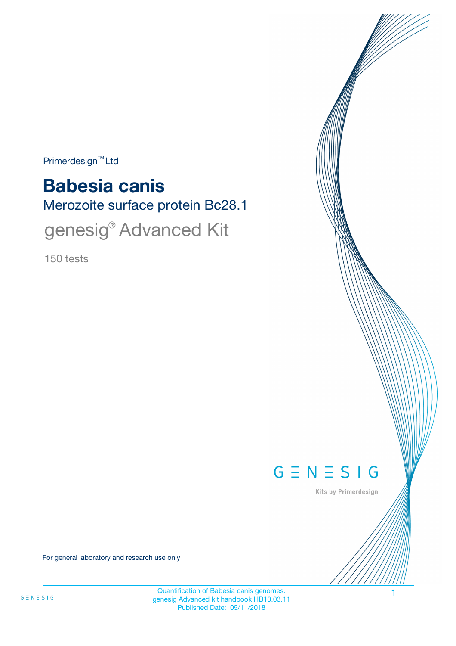$Primerdesign<sup>™</sup>Ltd$ 

# Merozoite surface protein Bc28.1 **Babesia canis**

genesig<sup>®</sup> Advanced Kit

150 tests



Kits by Primerdesign

For general laboratory and research use only

Quantification of Babesia canis genomes. 1 genesig Advanced kit handbook HB10.03.11 Published Date: 09/11/2018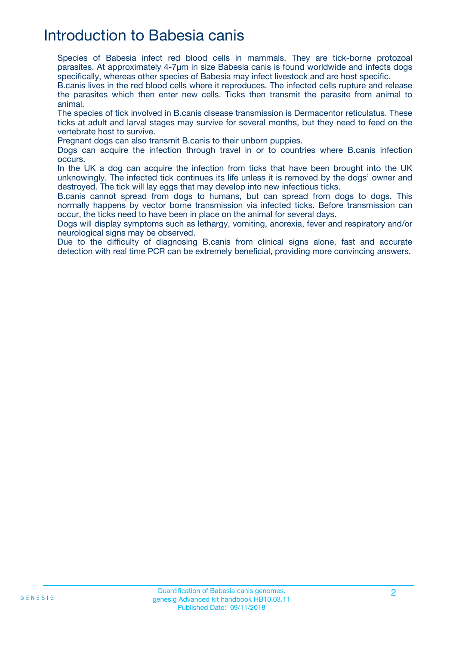## Introduction to Babesia canis

Species of Babesia infect red blood cells in mammals. They are tick-borne protozoal parasites. At approximately 4-7µm in size Babesia canis is found worldwide and infects dogs specifically, whereas other species of Babesia may infect livestock and are host specific.

B.canis lives in the red blood cells where it reproduces. The infected cells rupture and release the parasites which then enter new cells. Ticks then transmit the parasite from animal to animal.

The species of tick involved in B.canis disease transmission is Dermacentor reticulatus. These ticks at adult and larval stages may survive for several months, but they need to feed on the vertebrate host to survive.

Pregnant dogs can also transmit B.canis to their unborn puppies.

Dogs can acquire the infection through travel in or to countries where B.canis infection occurs.

In the UK a dog can acquire the infection from ticks that have been brought into the UK unknowingly. The infected tick continues its life unless it is removed by the dogs' owner and destroyed. The tick will lay eggs that may develop into new infectious ticks.

B.canis cannot spread from dogs to humans, but can spread from dogs to dogs. This normally happens by vector borne transmission via infected ticks. Before transmission can occur, the ticks need to have been in place on the animal for several days.

Dogs will display symptoms such as lethargy, vomiting, anorexia, fever and respiratory and/or neurological signs may be observed.

Due to the difficulty of diagnosing B.canis from clinical signs alone, fast and accurate detection with real time PCR can be extremely beneficial, providing more convincing answers.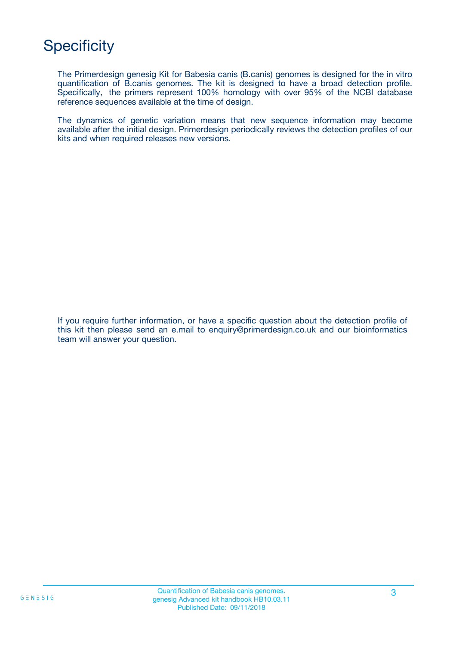## **Specificity**

The Primerdesign genesig Kit for Babesia canis (B.canis) genomes is designed for the in vitro quantification of B.canis genomes. The kit is designed to have a broad detection profile. Specifically, the primers represent 100% homology with over 95% of the NCBI database reference sequences available at the time of design.

The dynamics of genetic variation means that new sequence information may become available after the initial design. Primerdesign periodically reviews the detection profiles of our kits and when required releases new versions.

If you require further information, or have a specific question about the detection profile of this kit then please send an e.mail to enquiry@primerdesign.co.uk and our bioinformatics team will answer your question.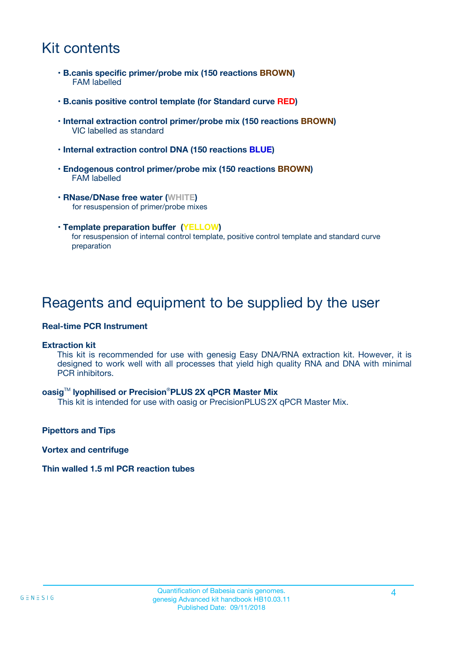## Kit contents

- **B.canis specific primer/probe mix (150 reactions BROWN)** FAM labelled
- **B.canis positive control template (for Standard curve RED)**
- **Internal extraction control primer/probe mix (150 reactions BROWN)** VIC labelled as standard
- **Internal extraction control DNA (150 reactions BLUE)**
- **Endogenous control primer/probe mix (150 reactions BROWN)** FAM labelled
- **RNase/DNase free water (WHITE)** for resuspension of primer/probe mixes
- **Template preparation buffer (YELLOW)** for resuspension of internal control template, positive control template and standard curve preparation

### Reagents and equipment to be supplied by the user

#### **Real-time PCR Instrument**

#### **Extraction kit**

This kit is recommended for use with genesig Easy DNA/RNA extraction kit. However, it is designed to work well with all processes that yield high quality RNA and DNA with minimal PCR inhibitors.

#### **oasig**TM **lyophilised or Precision**®**PLUS 2X qPCR Master Mix**

This kit is intended for use with oasig or PrecisionPLUS2X qPCR Master Mix.

**Pipettors and Tips**

**Vortex and centrifuge**

#### **Thin walled 1.5 ml PCR reaction tubes**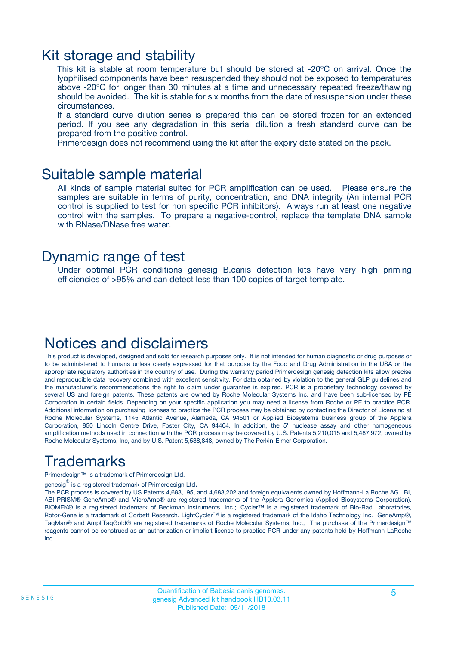### Kit storage and stability

This kit is stable at room temperature but should be stored at -20ºC on arrival. Once the lyophilised components have been resuspended they should not be exposed to temperatures above -20°C for longer than 30 minutes at a time and unnecessary repeated freeze/thawing should be avoided. The kit is stable for six months from the date of resuspension under these circumstances.

If a standard curve dilution series is prepared this can be stored frozen for an extended period. If you see any degradation in this serial dilution a fresh standard curve can be prepared from the positive control.

Primerdesign does not recommend using the kit after the expiry date stated on the pack.

### Suitable sample material

All kinds of sample material suited for PCR amplification can be used. Please ensure the samples are suitable in terms of purity, concentration, and DNA integrity (An internal PCR control is supplied to test for non specific PCR inhibitors). Always run at least one negative control with the samples. To prepare a negative-control, replace the template DNA sample with RNase/DNase free water.

### Dynamic range of test

Under optimal PCR conditions genesig B.canis detection kits have very high priming efficiencies of >95% and can detect less than 100 copies of target template.

### Notices and disclaimers

This product is developed, designed and sold for research purposes only. It is not intended for human diagnostic or drug purposes or to be administered to humans unless clearly expressed for that purpose by the Food and Drug Administration in the USA or the appropriate regulatory authorities in the country of use. During the warranty period Primerdesign genesig detection kits allow precise and reproducible data recovery combined with excellent sensitivity. For data obtained by violation to the general GLP guidelines and the manufacturer's recommendations the right to claim under guarantee is expired. PCR is a proprietary technology covered by several US and foreign patents. These patents are owned by Roche Molecular Systems Inc. and have been sub-licensed by PE Corporation in certain fields. Depending on your specific application you may need a license from Roche or PE to practice PCR. Additional information on purchasing licenses to practice the PCR process may be obtained by contacting the Director of Licensing at Roche Molecular Systems, 1145 Atlantic Avenue, Alameda, CA 94501 or Applied Biosystems business group of the Applera Corporation, 850 Lincoln Centre Drive, Foster City, CA 94404. In addition, the 5' nuclease assay and other homogeneous amplification methods used in connection with the PCR process may be covered by U.S. Patents 5,210,015 and 5,487,972, owned by Roche Molecular Systems, Inc, and by U.S. Patent 5,538,848, owned by The Perkin-Elmer Corporation.

## Trademarks

Primerdesign™ is a trademark of Primerdesign Ltd.

genesig $^\circledR$  is a registered trademark of Primerdesign Ltd.

The PCR process is covered by US Patents 4,683,195, and 4,683,202 and foreign equivalents owned by Hoffmann-La Roche AG. BI, ABI PRISM® GeneAmp® and MicroAmp® are registered trademarks of the Applera Genomics (Applied Biosystems Corporation). BIOMEK® is a registered trademark of Beckman Instruments, Inc.; iCycler™ is a registered trademark of Bio-Rad Laboratories, Rotor-Gene is a trademark of Corbett Research. LightCycler™ is a registered trademark of the Idaho Technology Inc. GeneAmp®, TaqMan® and AmpliTaqGold® are registered trademarks of Roche Molecular Systems, Inc., The purchase of the Primerdesign™ reagents cannot be construed as an authorization or implicit license to practice PCR under any patents held by Hoffmann-LaRoche Inc.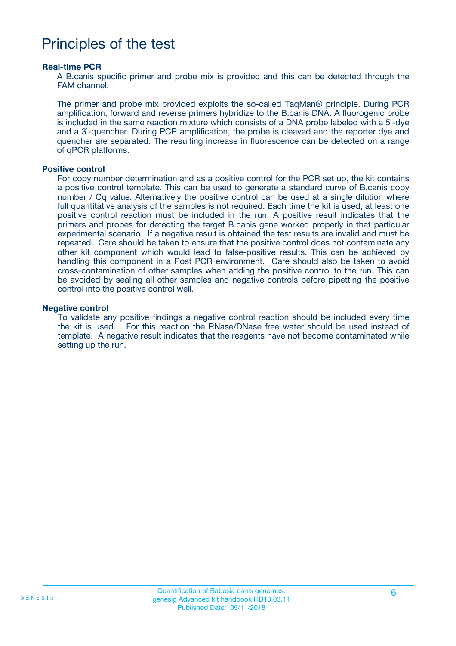## Principles of the test

#### **Real-time PCR**

A B.canis specific primer and probe mix is provided and this can be detected through the FAM channel.

The primer and probe mix provided exploits the so-called TaqMan® principle. During PCR amplification, forward and reverse primers hybridize to the B.canis DNA. A fluorogenic probe is included in the same reaction mixture which consists of a DNA probe labeled with a 5`-dye and a 3`-quencher. During PCR amplification, the probe is cleaved and the reporter dye and quencher are separated. The resulting increase in fluorescence can be detected on a range of qPCR platforms.

#### **Positive control**

For copy number determination and as a positive control for the PCR set up, the kit contains a positive control template. This can be used to generate a standard curve of B.canis copy number / Cq value. Alternatively the positive control can be used at a single dilution where full quantitative analysis of the samples is not required. Each time the kit is used, at least one positive control reaction must be included in the run. A positive result indicates that the primers and probes for detecting the target B.canis gene worked properly in that particular experimental scenario. If a negative result is obtained the test results are invalid and must be repeated. Care should be taken to ensure that the positive control does not contaminate any other kit component which would lead to false-positive results. This can be achieved by handling this component in a Post PCR environment. Care should also be taken to avoid cross-contamination of other samples when adding the positive control to the run. This can be avoided by sealing all other samples and negative controls before pipetting the positive control into the positive control well.

#### **Negative control**

To validate any positive findings a negative control reaction should be included every time the kit is used. For this reaction the RNase/DNase free water should be used instead of template. A negative result indicates that the reagents have not become contaminated while setting up the run.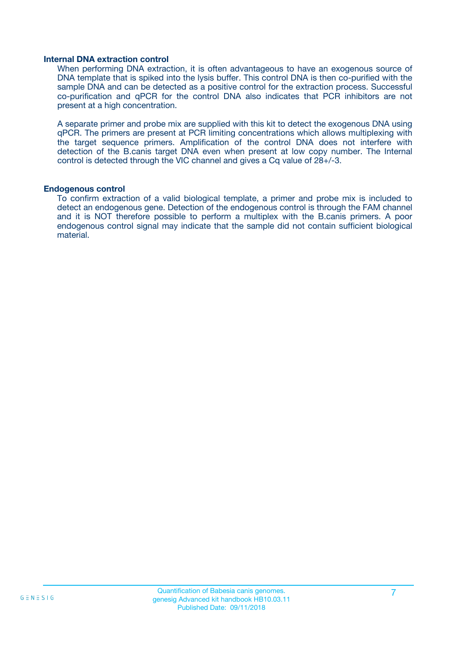#### **Internal DNA extraction control**

When performing DNA extraction, it is often advantageous to have an exogenous source of DNA template that is spiked into the lysis buffer. This control DNA is then co-purified with the sample DNA and can be detected as a positive control for the extraction process. Successful co-purification and qPCR for the control DNA also indicates that PCR inhibitors are not present at a high concentration.

A separate primer and probe mix are supplied with this kit to detect the exogenous DNA using qPCR. The primers are present at PCR limiting concentrations which allows multiplexing with the target sequence primers. Amplification of the control DNA does not interfere with detection of the B.canis target DNA even when present at low copy number. The Internal control is detected through the VIC channel and gives a Cq value of 28+/-3.

#### **Endogenous control**

To confirm extraction of a valid biological template, a primer and probe mix is included to detect an endogenous gene. Detection of the endogenous control is through the FAM channel and it is NOT therefore possible to perform a multiplex with the B.canis primers. A poor endogenous control signal may indicate that the sample did not contain sufficient biological material.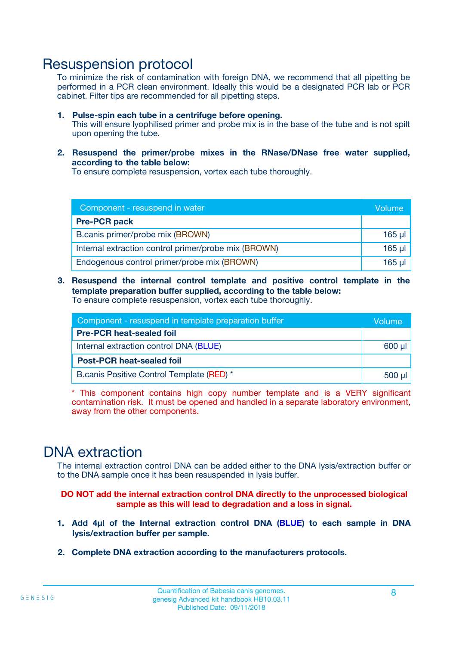### Resuspension protocol

To minimize the risk of contamination with foreign DNA, we recommend that all pipetting be performed in a PCR clean environment. Ideally this would be a designated PCR lab or PCR cabinet. Filter tips are recommended for all pipetting steps.

- **1. Pulse-spin each tube in a centrifuge before opening.** This will ensure lyophilised primer and probe mix is in the base of the tube and is not spilt upon opening the tube.
- **2. Resuspend the primer/probe mixes in the RNase/DNase free water supplied, according to the table below:**

To ensure complete resuspension, vortex each tube thoroughly.

| Component - resuspend in water                       |          |  |
|------------------------------------------------------|----------|--|
| <b>Pre-PCR pack</b>                                  |          |  |
| B.canis primer/probe mix (BROWN)                     | $165$ µ  |  |
| Internal extraction control primer/probe mix (BROWN) | $165$ µl |  |
| Endogenous control primer/probe mix (BROWN)          | 165 µl   |  |

**3. Resuspend the internal control template and positive control template in the template preparation buffer supplied, according to the table below:** To ensure complete resuspension, vortex each tube thoroughly.

| Component - resuspend in template preparation buffer |  |  |  |
|------------------------------------------------------|--|--|--|
| <b>Pre-PCR heat-sealed foil</b>                      |  |  |  |
| Internal extraction control DNA (BLUE)               |  |  |  |
| <b>Post-PCR heat-sealed foil</b>                     |  |  |  |
| B.canis Positive Control Template (RED) *            |  |  |  |

\* This component contains high copy number template and is a VERY significant contamination risk. It must be opened and handled in a separate laboratory environment, away from the other components.

### DNA extraction

The internal extraction control DNA can be added either to the DNA lysis/extraction buffer or to the DNA sample once it has been resuspended in lysis buffer.

**DO NOT add the internal extraction control DNA directly to the unprocessed biological sample as this will lead to degradation and a loss in signal.**

- **1. Add 4µl of the Internal extraction control DNA (BLUE) to each sample in DNA lysis/extraction buffer per sample.**
- **2. Complete DNA extraction according to the manufacturers protocols.**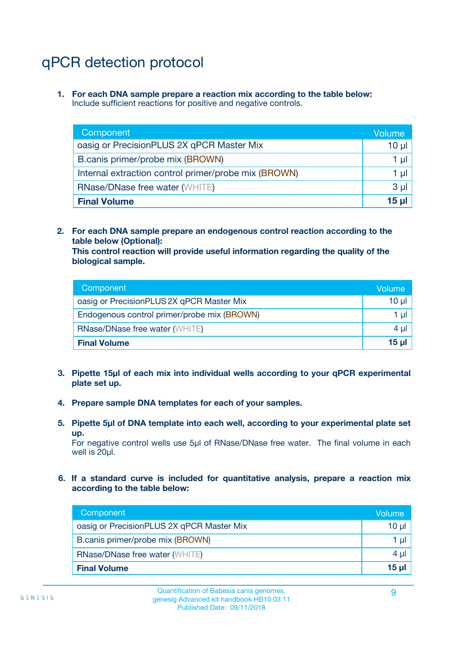# qPCR detection protocol

**1. For each DNA sample prepare a reaction mix according to the table below:** Include sufficient reactions for positive and negative controls.

| Component                                            | Volume   |
|------------------------------------------------------|----------|
| oasig or PrecisionPLUS 2X qPCR Master Mix            | $10 \mu$ |
| B.canis primer/probe mix (BROWN)                     | 1 µI     |
| Internal extraction control primer/probe mix (BROWN) | 1 µl     |
| <b>RNase/DNase free water (WHITE)</b>                | $3 \mu$  |
| <b>Final Volume</b>                                  | 15 µl    |

**2. For each DNA sample prepare an endogenous control reaction according to the table below (Optional):**

**This control reaction will provide useful information regarding the quality of the biological sample.**

| Component                                   | Volume          |
|---------------------------------------------|-----------------|
| oasig or PrecisionPLUS 2X qPCR Master Mix   | $10 \mu$        |
| Endogenous control primer/probe mix (BROWN) | 1 µI            |
| <b>RNase/DNase free water (WHITE)</b>       | 4 µl            |
| <b>Final Volume</b>                         | 15 <sub>µ</sub> |

- **3. Pipette 15µl of each mix into individual wells according to your qPCR experimental plate set up.**
- **4. Prepare sample DNA templates for each of your samples.**
- **5. Pipette 5µl of DNA template into each well, according to your experimental plate set up.**

For negative control wells use 5µl of RNase/DNase free water. The final volume in each well is 20ul.

**6. If a standard curve is included for quantitative analysis, prepare a reaction mix according to the table below:**

| Component                                 | Volume          |
|-------------------------------------------|-----------------|
| oasig or PrecisionPLUS 2X qPCR Master Mix | $10 \mu$        |
| B.canis primer/probe mix (BROWN)          |                 |
| <b>RNase/DNase free water (WHITE)</b>     | $4 \mu$         |
| <b>Final Volume</b>                       | 15 <sub>µ</sub> |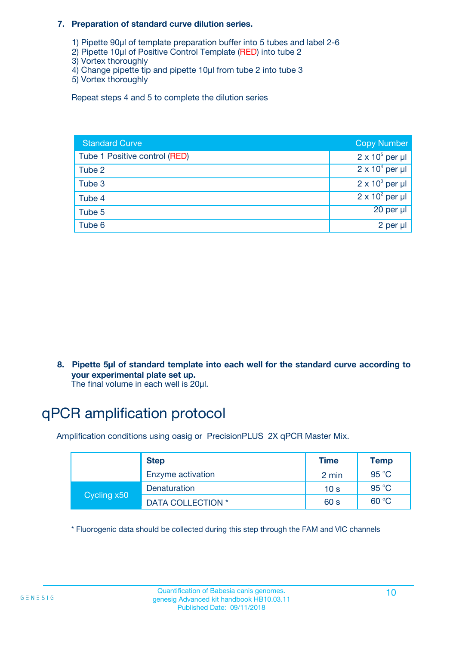#### **7. Preparation of standard curve dilution series.**

- 1) Pipette 90µl of template preparation buffer into 5 tubes and label 2-6
- 2) Pipette 10µl of Positive Control Template (RED) into tube 2
- 3) Vortex thoroughly
- 4) Change pipette tip and pipette 10µl from tube 2 into tube 3
- 5) Vortex thoroughly

Repeat steps 4 and 5 to complete the dilution series

| <b>Standard Curve</b>         | <b>Copy Number</b>     |
|-------------------------------|------------------------|
| Tube 1 Positive control (RED) | $2 \times 10^5$ per µl |
| Tube 2                        | $2 \times 10^4$ per µl |
| Tube 3                        | $2 \times 10^3$ per µl |
| Tube 4                        | $2 \times 10^2$ per µl |
| Tube 5                        | 20 per µl              |
| Tube 6                        | 2 per µl               |

**8. Pipette 5µl of standard template into each well for the standard curve according to your experimental plate set up.**

#### The final volume in each well is 20µl.

## qPCR amplification protocol

Amplification conditions using oasig or PrecisionPLUS 2X qPCR Master Mix.

|             | <b>Step</b>       | <b>Time</b>     | Temp    |
|-------------|-------------------|-----------------|---------|
|             | Enzyme activation | 2 min           | 95 °C   |
| Cycling x50 | Denaturation      | 10 <sub>s</sub> | 95 $°C$ |
|             | DATA COLLECTION * | 60 s            | 60 °C   |

\* Fluorogenic data should be collected during this step through the FAM and VIC channels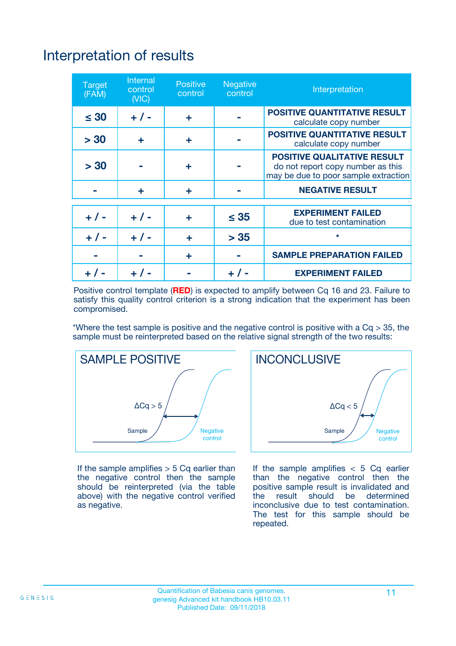# Interpretation of results

| <b>Target</b><br>(FAM) | <b>Internal</b><br>control<br>(NIC) | <b>Positive</b><br>control | <b>Negative</b><br>control | Interpretation                                                                                                  |
|------------------------|-------------------------------------|----------------------------|----------------------------|-----------------------------------------------------------------------------------------------------------------|
| $\leq 30$              | $+ 1 -$                             | ÷                          |                            | <b>POSITIVE QUANTITATIVE RESULT</b><br>calculate copy number                                                    |
| > 30                   | ٠                                   | ÷                          |                            | <b>POSITIVE QUANTITATIVE RESULT</b><br>calculate copy number                                                    |
| > 30                   |                                     | ÷                          |                            | <b>POSITIVE QUALITATIVE RESULT</b><br>do not report copy number as this<br>may be due to poor sample extraction |
|                        | ÷                                   | ÷                          |                            | <b>NEGATIVE RESULT</b>                                                                                          |
| $+ 1 -$                | $+ 1 -$                             | ÷                          | $\leq$ 35                  | <b>EXPERIMENT FAILED</b><br>due to test contamination                                                           |
| $+$ / -                | $+ 1 -$                             | ÷                          | > 35                       | $\star$                                                                                                         |
|                        |                                     | ÷                          |                            | <b>SAMPLE PREPARATION FAILED</b>                                                                                |
|                        |                                     |                            | $+$ /                      | <b>EXPERIMENT FAILED</b>                                                                                        |

Positive control template (**RED**) is expected to amplify between Cq 16 and 23. Failure to satisfy this quality control criterion is a strong indication that the experiment has been compromised.

\*Where the test sample is positive and the negative control is positive with a  $Ca > 35$ , the sample must be reinterpreted based on the relative signal strength of the two results:



If the sample amplifies  $> 5$  Cq earlier than the negative control then the sample should be reinterpreted (via the table above) with the negative control verified as negative.



If the sample amplifies  $< 5$  Cq earlier than the negative control then the positive sample result is invalidated and<br>the result should be determined  $the$  result should be inconclusive due to test contamination. The test for this sample should be repeated.